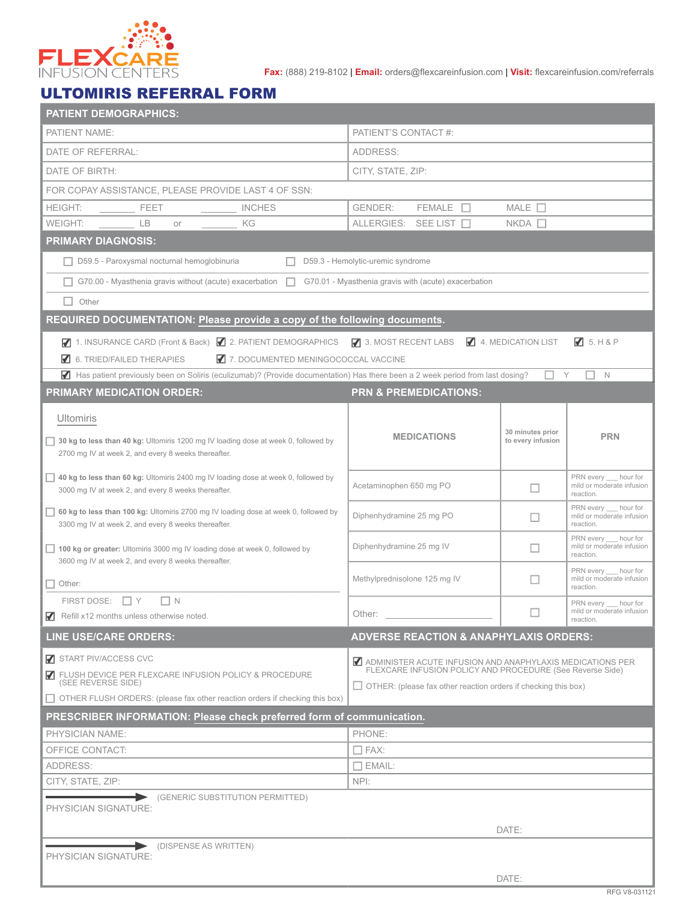

**Fax:** (888) 219-8102 | **Email:** orders@flexcareinfusion.com | **Visit:** flexcareinfusion.com/referrals

## ULTOMIRIS REFERRAL FORM

| <b>PATIENT DEMOGRAPHICS:</b>                                                                                                  |                                                                                                                        |                                             |                                                 |  |  |
|-------------------------------------------------------------------------------------------------------------------------------|------------------------------------------------------------------------------------------------------------------------|---------------------------------------------|-------------------------------------------------|--|--|
| PATIENT NAME:                                                                                                                 | PATIENT'S CONTACT #:                                                                                                   |                                             |                                                 |  |  |
| DATE OF REFERRAL:                                                                                                             | ADDRESS:                                                                                                               |                                             |                                                 |  |  |
| DATE OF BIRTH:                                                                                                                | CITY, STATE, ZIP:                                                                                                      |                                             |                                                 |  |  |
| FOR COPAY ASSISTANCE, PLEASE PROVIDE LAST 4 OF SSN:                                                                           |                                                                                                                        |                                             |                                                 |  |  |
| <b>HEIGHT:</b><br><b>FEET</b><br><b>INCHES</b>                                                                                | $FEMALE$ $\Box$<br><b>GENDER:</b>                                                                                      | MALE $\square$                              |                                                 |  |  |
| KG<br><b>WEIGHT:</b><br><b>LB</b><br>or                                                                                       | ALLERGIES: SEE LIST                                                                                                    | $NKDA$ $\Box$                               |                                                 |  |  |
| <b>PRIMARY DIAGNOSIS:</b>                                                                                                     |                                                                                                                        |                                             |                                                 |  |  |
| □ D59.5 - Paroxysmal nocturnal hemoglobinuria                                                                                 | D59.3 - Hemolytic-uremic syndrome                                                                                      |                                             |                                                 |  |  |
| $G70.00$ - Myasthenia gravis without (acute) exacerbation $\Box$                                                              | G70.01 - Myasthenia gravis with (acute) exacerbation                                                                   |                                             |                                                 |  |  |
| $\Box$ Other                                                                                                                  |                                                                                                                        |                                             |                                                 |  |  |
| REQUIRED DOCUMENTATION: Please provide a copy of the following documents.                                                     |                                                                                                                        |                                             |                                                 |  |  |
| 7 1. INSURANCE CARD (Front & Back) 7 2. PATIENT DEMOGRAPHICS 7 3. MOST RECENT LABS                                            |                                                                                                                        | 4. MEDICATION LIST                          | $\sqrt{3}$ 5. H & P                             |  |  |
| $\blacksquare$ 6. TRIED/FAILED THERAPIES<br>7. DOCUMENTED MENINGOCOCCAL VACCINE                                               |                                                                                                                        |                                             |                                                 |  |  |
| Has patient previously been on Soliris (eculizumab)? (Provide documentation) Has there been a 2 week period from last dosing? |                                                                                                                        |                                             | $\mathbb N$<br>Y                                |  |  |
| <b>PRIMARY MEDICATION ORDER:</b>                                                                                              | <b>PRN &amp; PREMEDICATIONS:</b>                                                                                       |                                             |                                                 |  |  |
|                                                                                                                               |                                                                                                                        |                                             |                                                 |  |  |
| <b>Ultomiris</b>                                                                                                              |                                                                                                                        |                                             |                                                 |  |  |
| 30 kg to less than 40 kg: Ultomiris 1200 mg IV loading dose at week 0, followed by                                            | <b>MEDICATIONS</b>                                                                                                     | 30 minutes prior<br>to every infusion       | <b>PRN</b>                                      |  |  |
| 2700 mg IV at week 2, and every 8 weeks thereafter.                                                                           |                                                                                                                        |                                             |                                                 |  |  |
| $\Box$ 40 kg to less than 60 kg: Ultomiris 2400 mg IV loading dose at week 0, followed by                                     | Acetaminophen 650 mg PO                                                                                                |                                             | PRN every hour for                              |  |  |
| 3000 mg IV at week 2, and every 8 weeks thereafter.                                                                           |                                                                                                                        | mild or moderate infusion<br>□<br>reaction. |                                                 |  |  |
| $\Box$ 60 kg to less than 100 kg: Ultomiris 2700 mg IV loading dose at week 0, followed by                                    | Diphenhydramine 25 mg PO                                                                                               | $\Box$                                      | PRN every hour for<br>mild or moderate infusion |  |  |
| 3300 mg IV at week 2, and every 8 weeks thereafter.                                                                           |                                                                                                                        | reaction.<br>PRN every<br>hour for          |                                                 |  |  |
| 100 kg or greater: Ultomiris 3000 mg IV loading dose at week 0, followed by                                                   | Diphenhydramine 25 mg IV                                                                                               | mild or moderate infusion<br>□<br>reaction. |                                                 |  |  |
| 3600 mg IV at week 2, and every 8 weeks thereafter.                                                                           |                                                                                                                        |                                             | PRN every hour for                              |  |  |
| $\Box$ Other:                                                                                                                 | Methylprednisolone 125 mg IV                                                                                           | mild or moderate infusion<br>ப<br>reaction. |                                                 |  |  |
| FIRST DOSE: $\Box$ Y<br>$\Box$ N                                                                                              |                                                                                                                        |                                             | PRN every hour for<br>mild or moderate infusion |  |  |
| Refill x12 months unless otherwise noted.                                                                                     | Other:                                                                                                                 |                                             | reaction.                                       |  |  |
| <b>LINE USE/CARE ORDERS:</b>                                                                                                  | <b>ADVERSE REACTION &amp; ANAPHYLAXIS ORDERS:</b>                                                                      |                                             |                                                 |  |  |
| START PIV/ACCESS CVC                                                                                                          |                                                                                                                        |                                             |                                                 |  |  |
| FLUSH DEVICE PER FLEXCARE INFUSION POLICY & PROCEDURE<br>(SEE REVERSE SIDE)                                                   | ADMINISTER ACUTE INFUSION AND ANAPHYLAXIS MEDICATIONS PER<br>FLEXCARE INFUSION POLICY AND PROCEDURE (See Reverse Side) |                                             |                                                 |  |  |
| $\Box$ OTHER FLUSH ORDERS: (please fax other reaction orders if checking this box)                                            | $\Box$ OTHER: (please fax other reaction orders if checking this box)                                                  |                                             |                                                 |  |  |
| PRESCRIBER INFORMATION: Please check preferred form of communication.                                                         |                                                                                                                        |                                             |                                                 |  |  |
| PHYSICIAN NAME:                                                                                                               | PHONE:                                                                                                                 |                                             |                                                 |  |  |
| OFFICE CONTACT:                                                                                                               | $\Box$ FAX:                                                                                                            |                                             |                                                 |  |  |
| ADDRESS:                                                                                                                      | $\Box$ EMAIL:                                                                                                          |                                             |                                                 |  |  |
| CITY, STATE, ZIP:                                                                                                             | NPI:                                                                                                                   |                                             |                                                 |  |  |
| (GENERIC SUBSTITUTION PERMITTED)<br>⋗                                                                                         |                                                                                                                        |                                             |                                                 |  |  |
| PHYSICIAN SIGNATURE:                                                                                                          |                                                                                                                        |                                             |                                                 |  |  |
|                                                                                                                               |                                                                                                                        | DATE:                                       |                                                 |  |  |
| (DISPENSE AS WRITTEN)<br>PHYSICIAN SIGNATURE:                                                                                 |                                                                                                                        |                                             |                                                 |  |  |
|                                                                                                                               |                                                                                                                        |                                             |                                                 |  |  |
|                                                                                                                               | DATE:                                                                                                                  |                                             |                                                 |  |  |